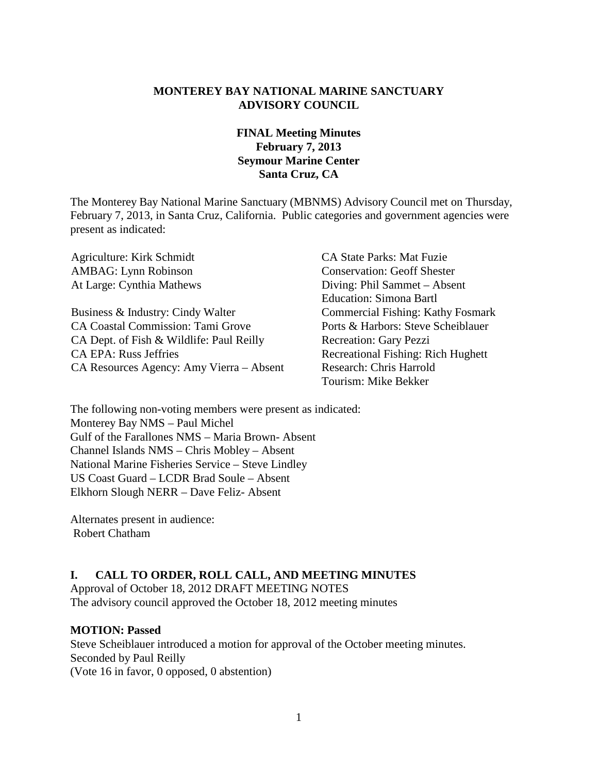#### **MONTEREY BAY NATIONAL MARINE SANCTUARY ADVISORY COUNCIL**

### **FINAL Meeting Minutes February 7, 2013 Seymour Marine Center Santa Cruz, CA**

The Monterey Bay National Marine Sanctuary (MBNMS) Advisory Council met on Thursday, February 7, 2013, in Santa Cruz, California. Public categories and government agencies were present as indicated:

Agriculture: Kirk Schmidt CA State Parks: Mat Fuzie AMBAG: Lynn Robinson Conservation: Geoff Shester At Large: Cynthia Mathews Diving: Phil Sammet – Absent Business & Industry: Cindy Walter Commercial Fishing: Kathy Fosmark CA Coastal Commission: Tami Grove Ports & Harbors: Steve Scheiblauer CA Dept. of Fish & Wildlife: Paul Reilly Recreation: Gary Pezzi CA EPA: Russ Jeffries Recreational Fishing: Rich Hughett CA Resources Agency: Amy Vierra – Absent Research: Chris Harrold

Education: Simona Bartl Tourism: Mike Bekker

The following non-voting members were present as indicated: Monterey Bay NMS – Paul Michel Gulf of the Farallones NMS – Maria Brown- Absent Channel Islands NMS – Chris Mobley – Absent National Marine Fisheries Service – Steve Lindley US Coast Guard – LCDR Brad Soule – Absent Elkhorn Slough NERR – Dave Feliz- Absent

Alternates present in audience: Robert Chatham

#### **I. CALL TO ORDER, ROLL CALL, AND MEETING MINUTES**

Approval of October 18, 2012 DRAFT MEETING NOTES The advisory council approved the October 18, 2012 meeting minutes

#### **MOTION: Passed**

Steve Scheiblauer introduced a motion for approval of the October meeting minutes. Seconded by Paul Reilly (Vote 16 in favor, 0 opposed, 0 abstention)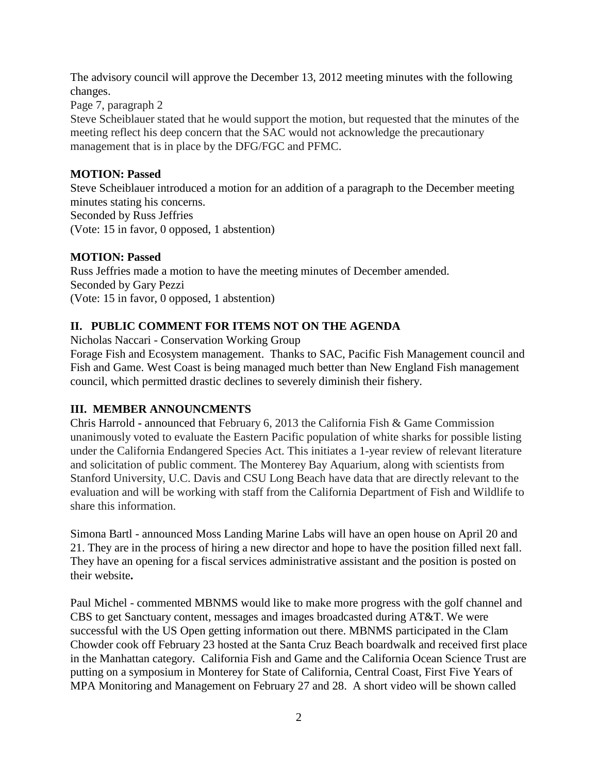The advisory council will approve the December 13, 2012 meeting minutes with the following changes.

Page 7, paragraph 2

Steve Scheiblauer stated that he would support the motion, but requested that the minutes of the meeting reflect his deep concern that the SAC would not acknowledge the precautionary management that is in place by the DFG/FGC and PFMC.

#### **MOTION: Passed**

Steve Scheiblauer introduced a motion for an addition of a paragraph to the December meeting minutes stating his concerns. Seconded by Russ Jeffries (Vote: 15 in favor, 0 opposed, 1 abstention)

### **MOTION: Passed**

Russ Jeffries made a motion to have the meeting minutes of December amended. Seconded by Gary Pezzi (Vote: 15 in favor, 0 opposed, 1 abstention)

# **II. PUBLIC COMMENT FOR ITEMS NOT ON THE AGENDA**

Nicholas Naccari - Conservation Working Group

Forage Fish and Ecosystem management. Thanks to SAC, Pacific Fish Management council and Fish and Game. West Coast is being managed much better than New England Fish management council, which permitted drastic declines to severely diminish their fishery.

# **III. MEMBER ANNOUNCMENTS**

Chris Harrold **-** announced that February 6, 2013 the California Fish & Game Commission unanimously voted to evaluate the Eastern Pacific population of white sharks for possible listing under the California Endangered Species Act. This initiates a 1-year review of relevant literature and solicitation of public comment. The Monterey Bay Aquarium, along with scientists from Stanford University, U.C. Davis and CSU Long Beach have data that are directly relevant to the evaluation and will be working with staff from the California Department of Fish and Wildlife to share this information.

Simona Bartl - announced Moss Landing Marine Labs will have an open house on April 20 and 21. They are in the process of hiring a new director and hope to have the position filled next fall. They have an opening for a fiscal services administrative assistant and the position is posted on their website**.**

Paul Michel - commented MBNMS would like to make more progress with the golf channel and CBS to get Sanctuary content, messages and images broadcasted during AT&T. We were successful with the US Open getting information out there. MBNMS participated in the Clam Chowder cook off February 23 hosted at the Santa Cruz Beach boardwalk and received first place in the Manhattan category. California Fish and Game and the California Ocean Science Trust are putting on a symposium in Monterey for State of California, Central Coast, First Five Years of MPA Monitoring and Management on February 27 and 28. A short video will be shown called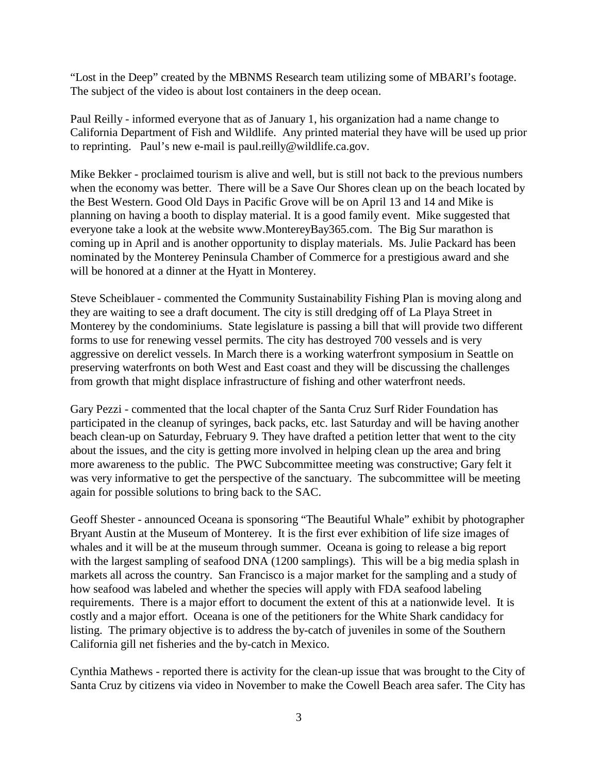"Lost in the Deep" created by the MBNMS Research team utilizing some of MBARI's footage. The subject of the video is about lost containers in the deep ocean.

Paul Reilly - informed everyone that as of January 1, his organization had a name change to California Department of Fish and Wildlife. Any printed material they have will be used up prior to reprinting. Paul's new e-mail is paul.reilly@wildlife.ca.gov.

Mike Bekker - proclaimed tourism is alive and well, but is still not back to the previous numbers when the economy was better. There will be a Save Our Shores clean up on the beach located by the Best Western. Good Old Days in Pacific Grove will be on April 13 and 14 and Mike is planning on having a booth to display material. It is a good family event. Mike suggested that everyone take a look at the website www.MontereyBay365.com. The Big Sur marathon is coming up in April and is another opportunity to display materials. Ms. Julie Packard has been nominated by the Monterey Peninsula Chamber of Commerce for a prestigious award and she will be honored at a dinner at the Hyatt in Monterey.

Steve Scheiblauer - commented the Community Sustainability Fishing Plan is moving along and they are waiting to see a draft document. The city is still dredging off of La Playa Street in Monterey by the condominiums. State legislature is passing a bill that will provide two different forms to use for renewing vessel permits. The city has destroyed 700 vessels and is very aggressive on derelict vessels. In March there is a working waterfront symposium in Seattle on preserving waterfronts on both West and East coast and they will be discussing the challenges from growth that might displace infrastructure of fishing and other waterfront needs.

Gary Pezzi - commented that the local chapter of the Santa Cruz Surf Rider Foundation has participated in the cleanup of syringes, back packs, etc. last Saturday and will be having another beach clean-up on Saturday, February 9. They have drafted a petition letter that went to the city about the issues, and the city is getting more involved in helping clean up the area and bring more awareness to the public. The PWC Subcommittee meeting was constructive; Gary felt it was very informative to get the perspective of the sanctuary. The subcommittee will be meeting again for possible solutions to bring back to the SAC.

Geoff Shester - announced Oceana is sponsoring "The Beautiful Whale" exhibit by photographer Bryant Austin at the Museum of Monterey. It is the first ever exhibition of life size images of whales and it will be at the museum through summer. Oceana is going to release a big report with the largest sampling of seafood DNA (1200 samplings). This will be a big media splash in markets all across the country. San Francisco is a major market for the sampling and a study of how seafood was labeled and whether the species will apply with FDA seafood labeling requirements. There is a major effort to document the extent of this at a nationwide level. It is costly and a major effort. Oceana is one of the petitioners for the White Shark candidacy for listing. The primary objective is to address the by-catch of juveniles in some of the Southern California gill net fisheries and the by-catch in Mexico.

Cynthia Mathews - reported there is activity for the clean-up issue that was brought to the City of Santa Cruz by citizens via video in November to make the Cowell Beach area safer. The City has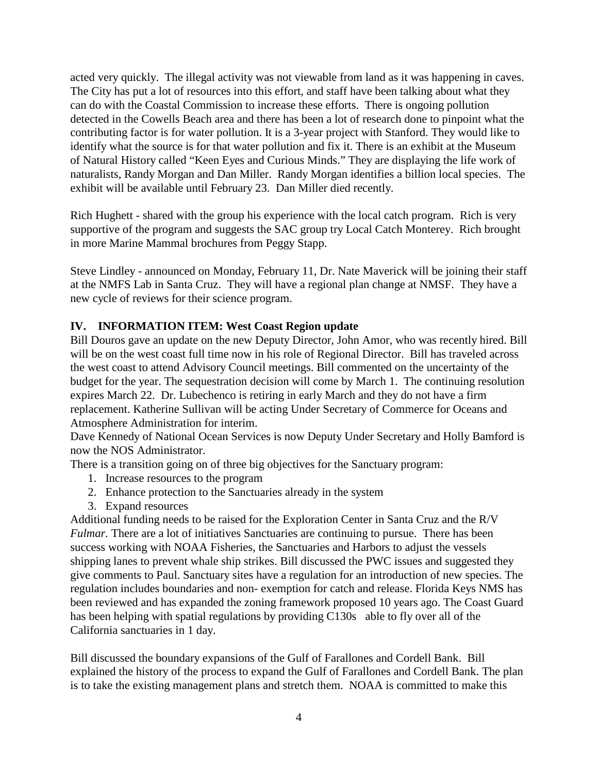acted very quickly. The illegal activity was not viewable from land as it was happening in caves. The City has put a lot of resources into this effort, and staff have been talking about what they can do with the Coastal Commission to increase these efforts. There is ongoing pollution detected in the Cowells Beach area and there has been a lot of research done to pinpoint what the contributing factor is for water pollution. It is a 3-year project with Stanford. They would like to identify what the source is for that water pollution and fix it. There is an exhibit at the Museum of Natural History called "Keen Eyes and Curious Minds." They are displaying the life work of naturalists, Randy Morgan and Dan Miller. Randy Morgan identifies a billion local species. The exhibit will be available until February 23. Dan Miller died recently.

Rich Hughett - shared with the group his experience with the local catch program. Rich is very supportive of the program and suggests the SAC group try Local Catch Monterey. Rich brought in more Marine Mammal brochures from Peggy Stapp.

Steve Lindley - announced on Monday, February 11, Dr. Nate Maverick will be joining their staff at the NMFS Lab in Santa Cruz. They will have a regional plan change at NMSF. They have a new cycle of reviews for their science program.

#### **IV. INFORMATION ITEM: West Coast Region update**

Bill Douros gave an update on the new Deputy Director, John Amor, who was recently hired. Bill will be on the west coast full time now in his role of Regional Director. Bill has traveled across the west coast to attend Advisory Council meetings. Bill commented on the uncertainty of the budget for the year. The sequestration decision will come by March 1. The continuing resolution expires March 22. Dr. Lubechenco is retiring in early March and they do not have a firm replacement. Katherine Sullivan will be acting Under Secretary of Commerce for Oceans and Atmosphere Administration for interim.

Dave Kennedy of National Ocean Services is now Deputy Under Secretary and Holly Bamford is now the NOS Administrator.

There is a transition going on of three big objectives for the Sanctuary program:

- 1. Increase resources to the program
- 2. Enhance protection to the Sanctuaries already in the system
- 3. Expand resources

Additional funding needs to be raised for the Exploration Center in Santa Cruz and the R/V *Fulmar*. There are a lot of initiatives Sanctuaries are continuing to pursue. There has been success working with NOAA Fisheries, the Sanctuaries and Harbors to adjust the vessels shipping lanes to prevent whale ship strikes. Bill discussed the PWC issues and suggested they give comments to Paul. Sanctuary sites have a regulation for an introduction of new species. The regulation includes boundaries and non- exemption for catch and release. Florida Keys NMS has been reviewed and has expanded the zoning framework proposed 10 years ago. The Coast Guard has been helping with spatial regulations by providing C130s able to fly over all of the California sanctuaries in 1 day.

Bill discussed the boundary expansions of the Gulf of Farallones and Cordell Bank. Bill explained the history of the process to expand the Gulf of Farallones and Cordell Bank. The plan is to take the existing management plans and stretch them. NOAA is committed to make this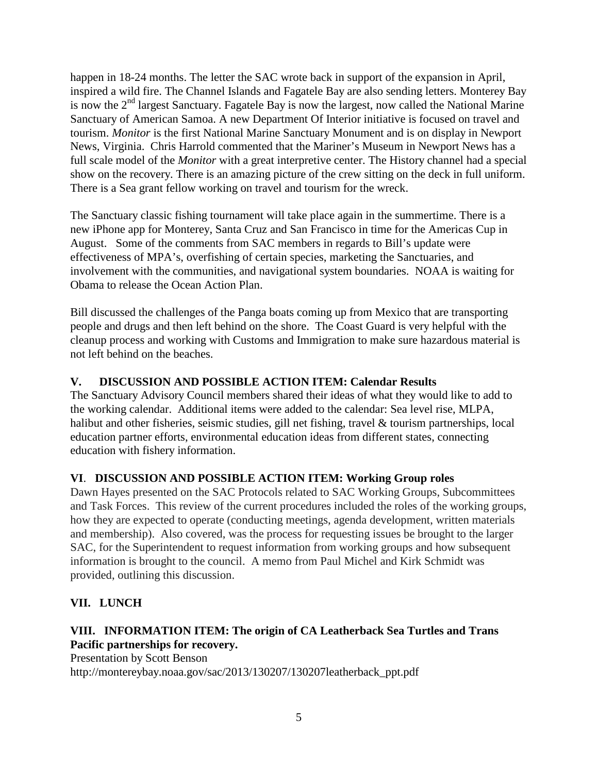happen in 18-24 months. The letter the SAC wrote back in support of the expansion in April, inspired a wild fire. The Channel Islands and Fagatele Bay are also sending letters. Monterey Bay is now the  $2<sup>nd</sup>$  largest Sanctuary. Fagatele Bay is now the largest, now called the National Marine Sanctuary of American Samoa. A new Department Of Interior initiative is focused on travel and tourism. *Monitor* is the first National Marine Sanctuary Monument and is on display in Newport News, Virginia. Chris Harrold commented that the Mariner's Museum in Newport News has a full scale model of the *Monitor* with a great interpretive center. The History channel had a special show on the recovery. There is an amazing picture of the crew sitting on the deck in full uniform. There is a Sea grant fellow working on travel and tourism for the wreck.

The Sanctuary classic fishing tournament will take place again in the summertime. There is a new iPhone app for Monterey, Santa Cruz and San Francisco in time for the Americas Cup in August. Some of the comments from SAC members in regards to Bill's update were effectiveness of MPA's, overfishing of certain species, marketing the Sanctuaries, and involvement with the communities, and navigational system boundaries. NOAA is waiting for Obama to release the Ocean Action Plan.

Bill discussed the challenges of the Panga boats coming up from Mexico that are transporting people and drugs and then left behind on the shore. The Coast Guard is very helpful with the cleanup process and working with Customs and Immigration to make sure hazardous material is not left behind on the beaches.

# **V. DISCUSSION AND POSSIBLE ACTION ITEM: Calendar Results**

The Sanctuary Advisory Council members shared their ideas of what they would like to add to the working calendar. Additional items were added to the calendar: Sea level rise, MLPA, halibut and other fisheries, seismic studies, gill net fishing, travel & tourism partnerships, local education partner efforts, environmental education ideas from different states, connecting education with fishery information.

# **VI**. **DISCUSSION AND POSSIBLE ACTION ITEM: Working Group roles**

Dawn Hayes presented on the SAC Protocols related to SAC Working Groups, Subcommittees and Task Forces. This review of the current procedures included the roles of the working groups, how they are expected to operate (conducting meetings, agenda development, written materials and membership). Also covered, was the process for requesting issues be brought to the larger SAC, for the Superintendent to request information from working groups and how subsequent information is brought to the council. A memo from Paul Michel and Kirk Schmidt was provided, outlining this discussion.

# **VII. LUNCH**

# **VIII. INFORMATION ITEM: The origin of CA Leatherback Sea Turtles and Trans Pacific partnerships for recovery.**

Presentation by Scott Benson

http://montereybay.noaa.gov/sac/2013/130207/130207leatherback\_ppt.pdf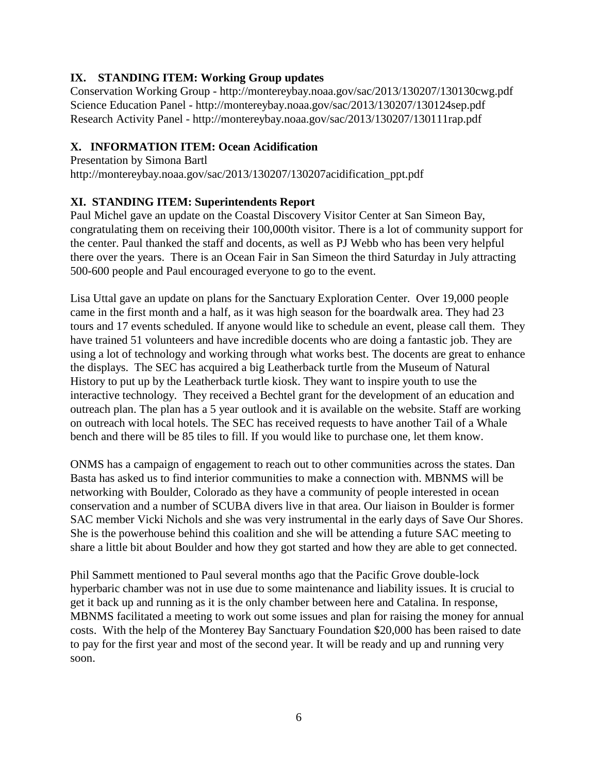#### **IX. STANDING ITEM: Working Group updates**

Conservation Working Group - http://montereybay.noaa.gov/sac/2013/130207/130130cwg.pdf Science Education Panel - http://montereybay.noaa.gov/sac/2013/130207/130124sep.pdf Research Activity Panel - http://montereybay.noaa.gov/sac/2013/130207/130111rap.pdf

#### **X. INFORMATION ITEM: Ocean Acidification**

Presentation by Simona Bartl http://montereybay.noaa.gov/sac/2013/130207/130207acidification\_ppt.pdf

### **XI. STANDING ITEM: Superintendents Report**

Paul Michel gave an update on the Coastal Discovery Visitor Center at San Simeon Bay, congratulating them on receiving their 100,000th visitor. There is a lot of community support for the center. Paul thanked the staff and docents, as well as PJ Webb who has been very helpful there over the years. There is an Ocean Fair in San Simeon the third Saturday in July attracting 500-600 people and Paul encouraged everyone to go to the event.

Lisa Uttal gave an update on plans for the Sanctuary Exploration Center. Over 19,000 people came in the first month and a half, as it was high season for the boardwalk area. They had 23 tours and 17 events scheduled. If anyone would like to schedule an event, please call them. They have trained 51 volunteers and have incredible docents who are doing a fantastic job. They are using a lot of technology and working through what works best. The docents are great to enhance the displays. The SEC has acquired a big Leatherback turtle from the Museum of Natural History to put up by the Leatherback turtle kiosk. They want to inspire youth to use the interactive technology. They received a Bechtel grant for the development of an education and outreach plan. The plan has a 5 year outlook and it is available on the website. Staff are working on outreach with local hotels. The SEC has received requests to have another Tail of a Whale bench and there will be 85 tiles to fill. If you would like to purchase one, let them know.

ONMS has a campaign of engagement to reach out to other communities across the states. Dan Basta has asked us to find interior communities to make a connection with. MBNMS will be networking with Boulder, Colorado as they have a community of people interested in ocean conservation and a number of SCUBA divers live in that area. Our liaison in Boulder is former SAC member Vicki Nichols and she was very instrumental in the early days of Save Our Shores. She is the powerhouse behind this coalition and she will be attending a future SAC meeting to share a little bit about Boulder and how they got started and how they are able to get connected.

Phil Sammett mentioned to Paul several months ago that the Pacific Grove double-lock hyperbaric chamber was not in use due to some maintenance and liability issues. It is crucial to get it back up and running as it is the only chamber between here and Catalina. In response, MBNMS facilitated a meeting to work out some issues and plan for raising the money for annual costs. With the help of the Monterey Bay Sanctuary Foundation \$20,000 has been raised to date to pay for the first year and most of the second year. It will be ready and up and running very soon.